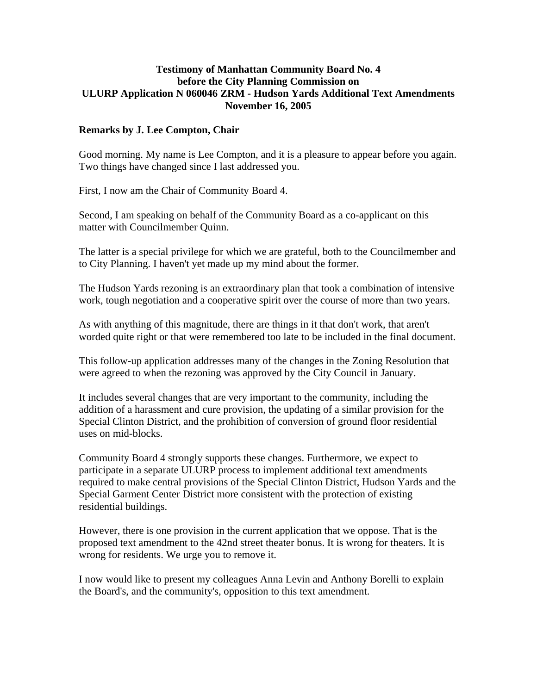## **Testimony of Manhattan Community Board No. 4 before the City Planning Commission on ULURP Application N 060046 ZRM - Hudson Yards Additional Text Amendments November 16, 2005**

## **Remarks by J. Lee Compton, Chair**

Good morning. My name is Lee Compton, and it is a pleasure to appear before you again. Two things have changed since I last addressed you.

First, I now am the Chair of Community Board 4.

Second, I am speaking on behalf of the Community Board as a co-applicant on this matter with Councilmember Quinn.

The latter is a special privilege for which we are grateful, both to the Councilmember and to City Planning. I haven't yet made up my mind about the former.

The Hudson Yards rezoning is an extraordinary plan that took a combination of intensive work, tough negotiation and a cooperative spirit over the course of more than two years.

As with anything of this magnitude, there are things in it that don't work, that aren't worded quite right or that were remembered too late to be included in the final document.

This follow-up application addresses many of the changes in the Zoning Resolution that were agreed to when the rezoning was approved by the City Council in January.

It includes several changes that are very important to the community, including the addition of a harassment and cure provision, the updating of a similar provision for the Special Clinton District, and the prohibition of conversion of ground floor residential uses on mid-blocks.

Community Board 4 strongly supports these changes. Furthermore, we expect to participate in a separate ULURP process to implement additional text amendments required to make central provisions of the Special Clinton District, Hudson Yards and the Special Garment Center District more consistent with the protection of existing residential buildings.

However, there is one provision in the current application that we oppose. That is the proposed text amendment to the 42nd street theater bonus. It is wrong for theaters. It is wrong for residents. We urge you to remove it.

I now would like to present my colleagues Anna Levin and Anthony Borelli to explain the Board's, and the community's, opposition to this text amendment.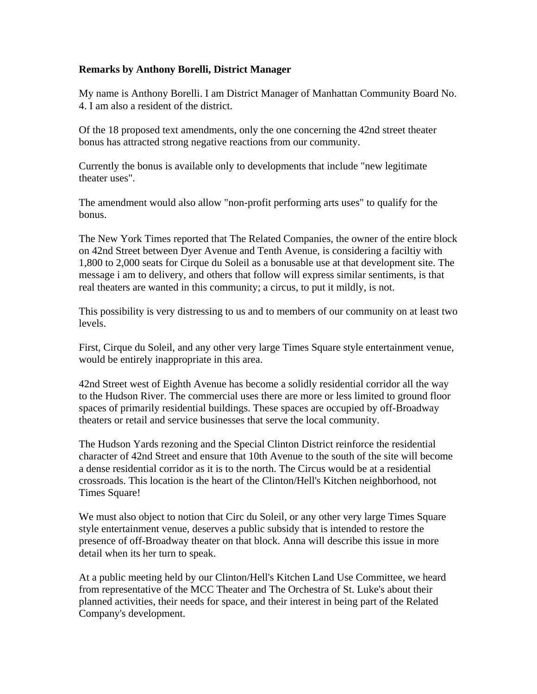## **Remarks by Anthony Borelli, District Manager**

My name is Anthony Borelli. I am District Manager of Manhattan Community Board No. 4. I am also a resident of the district.

Of the 18 proposed text amendments, only the one concerning the 42nd street theater bonus has attracted strong negative reactions from our community.

Currently the bonus is available only to developments that include "new legitimate theater uses".

The amendment would also allow "non-profit performing arts uses" to qualify for the bonus.

The New York Times reported that The Related Companies, the owner of the entire block on 42nd Street between Dyer Avenue and Tenth Avenue, is considering a faciltiy with 1,800 to 2,000 seats for Cirque du Soleil as a bonusable use at that development site. The message i am to delivery, and others that follow will express similar sentiments, is that real theaters are wanted in this community; a circus, to put it mildly, is not.

This possibility is very distressing to us and to members of our community on at least two levels.

First, Cirque du Soleil, and any other very large Times Square style entertainment venue, would be entirely inappropriate in this area.

42nd Street west of Eighth Avenue has become a solidly residential corridor all the way to the Hudson River. The commercial uses there are more or less limited to ground floor spaces of primarily residential buildings. These spaces are occupied by off-Broadway theaters or retail and service businesses that serve the local community.

The Hudson Yards rezoning and the Special Clinton District reinforce the residential character of 42nd Street and ensure that 10th Avenue to the south of the site will become a dense residential corridor as it is to the north. The Circus would be at a residential crossroads. This location is the heart of the Clinton/Hell's Kitchen neighborhood, not Times Square!

We must also object to notion that Circ du Soleil, or any other very large Times Square style entertainment venue, deserves a public subsidy that is intended to restore the presence of off-Broadway theater on that block. Anna will describe this issue in more detail when its her turn to speak.

At a public meeting held by our Clinton/Hell's Kitchen Land Use Committee, we heard from representative of the MCC Theater and The Orchestra of St. Luke's about their planned activities, their needs for space, and their interest in being part of the Related Company's development.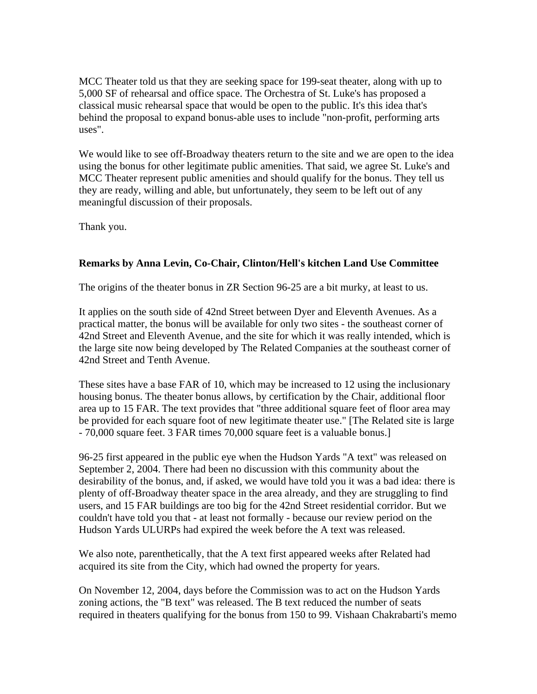MCC Theater told us that they are seeking space for 199-seat theater, along with up to 5,000 SF of rehearsal and office space. The Orchestra of St. Luke's has proposed a classical music rehearsal space that would be open to the public. It's this idea that's behind the proposal to expand bonus-able uses to include "non-profit, performing arts uses".

We would like to see off-Broadway theaters return to the site and we are open to the idea using the bonus for other legitimate public amenities. That said, we agree St. Luke's and MCC Theater represent public amenities and should qualify for the bonus. They tell us they are ready, willing and able, but unfortunately, they seem to be left out of any meaningful discussion of their proposals.

Thank you.

## **Remarks by Anna Levin, Co-Chair, Clinton/Hell's kitchen Land Use Committee**

The origins of the theater bonus in ZR Section 96-25 are a bit murky, at least to us.

It applies on the south side of 42nd Street between Dyer and Eleventh Avenues. As a practical matter, the bonus will be available for only two sites - the southeast corner of 42nd Street and Eleventh Avenue, and the site for which it was really intended, which is the large site now being developed by The Related Companies at the southeast corner of 42nd Street and Tenth Avenue.

These sites have a base FAR of 10, which may be increased to 12 using the inclusionary housing bonus. The theater bonus allows, by certification by the Chair, additional floor area up to 15 FAR. The text provides that "three additional square feet of floor area may be provided for each square foot of new legitimate theater use." [The Related site is large - 70,000 square feet. 3 FAR times 70,000 square feet is a valuable bonus.]

96-25 first appeared in the public eye when the Hudson Yards "A text" was released on September 2, 2004. There had been no discussion with this community about the desirability of the bonus, and, if asked, we would have told you it was a bad idea: there is plenty of off-Broadway theater space in the area already, and they are struggling to find users, and 15 FAR buildings are too big for the 42nd Street residential corridor. But we couldn't have told you that - at least not formally - because our review period on the Hudson Yards ULURPs had expired the week before the A text was released.

We also note, parenthetically, that the A text first appeared weeks after Related had acquired its site from the City, which had owned the property for years.

On November 12, 2004, days before the Commission was to act on the Hudson Yards zoning actions, the "B text" was released. The B text reduced the number of seats required in theaters qualifying for the bonus from 150 to 99. Vishaan Chakrabarti's memo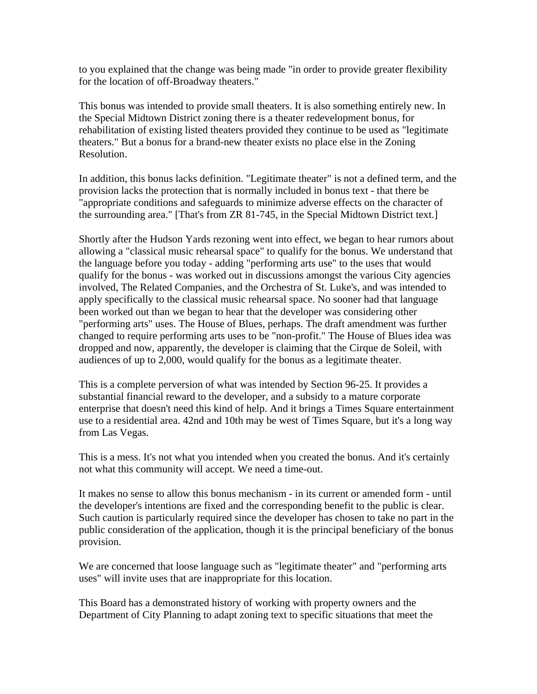to you explained that the change was being made "in order to provide greater flexibility for the location of off-Broadway theaters."

This bonus was intended to provide small theaters. It is also something entirely new. In the Special Midtown District zoning there is a theater redevelopment bonus, for rehabilitation of existing listed theaters provided they continue to be used as "legitimate theaters." But a bonus for a brand-new theater exists no place else in the Zoning Resolution.

In addition, this bonus lacks definition. "Legitimate theater" is not a defined term, and the provision lacks the protection that is normally included in bonus text - that there be "appropriate conditions and safeguards to minimize adverse effects on the character of the surrounding area." [That's from ZR 81-745, in the Special Midtown District text.]

Shortly after the Hudson Yards rezoning went into effect, we began to hear rumors about allowing a "classical music rehearsal space" to qualify for the bonus. We understand that the language before you today - adding "performing arts use" to the uses that would qualify for the bonus - was worked out in discussions amongst the various City agencies involved, The Related Companies, and the Orchestra of St. Luke's, and was intended to apply specifically to the classical music rehearsal space. No sooner had that language been worked out than we began to hear that the developer was considering other "performing arts" uses. The House of Blues, perhaps. The draft amendment was further changed to require performing arts uses to be "non-profit." The House of Blues idea was dropped and now, apparently, the developer is claiming that the Cirque de Soleil, with audiences of up to 2,000, would qualify for the bonus as a legitimate theater.

This is a complete perversion of what was intended by Section 96-25. It provides a substantial financial reward to the developer, and a subsidy to a mature corporate enterprise that doesn't need this kind of help. And it brings a Times Square entertainment use to a residential area. 42nd and 10th may be west of Times Square, but it's a long way from Las Vegas.

This is a mess. It's not what you intended when you created the bonus. And it's certainly not what this community will accept. We need a time-out.

It makes no sense to allow this bonus mechanism - in its current or amended form - until the developer's intentions are fixed and the corresponding benefit to the public is clear. Such caution is particularly required since the developer has chosen to take no part in the public consideration of the application, though it is the principal beneficiary of the bonus provision.

We are concerned that loose language such as "legitimate theater" and "performing arts uses" will invite uses that are inappropriate for this location.

This Board has a demonstrated history of working with property owners and the Department of City Planning to adapt zoning text to specific situations that meet the